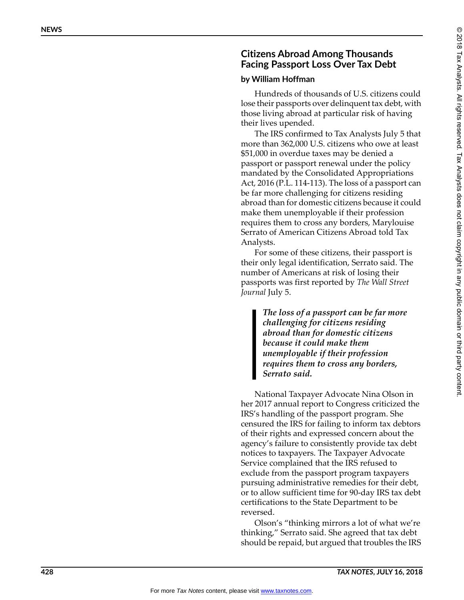## **Citizens Abroad Among Thousands Facing Passport Loss Over Tax Debt**

## **by William Hoffman**

Hundreds of thousands of U.S. citizens could lose their passports over delinquent tax debt, with those living abroad at particular risk of having their lives upended.

The IRS confirmed to Tax Analysts July 5 that more than 362,000 U.S. citizens who owe at least \$51,000 in overdue taxes may be denied a passport or passport renewal under the policy mandated by the Consolidated Appropriations Act, 2016 (P.L. 114-113). The loss of a passport can be far more challenging for citizens residing abroad than for domestic citizens because it could make them unemployable if their profession requires them to cross any borders, Marylouise Serrato of American Citizens Abroad told Tax Analysts.

For some of these citizens, their passport is their only legal identification, Serrato said. The number of Americans at risk of losing their passports was first reported by *The Wall Street Journal* July 5.

> *The loss of a passport can be far more challenging for citizens residing abroad than for domestic citizens because it could make them unemployable if their profession requires them to cross any borders, Serrato said.*

National Taxpayer Advocate Nina Olson in her 2017 annual report to Congress criticized the IRS's handling of the passport program. She censured the IRS for failing to inform tax debtors of their rights and expressed concern about the agency's failure to consistently provide tax debt notices to taxpayers. The Taxpayer Advocate Service complained that the IRS refused to exclude from the passport program taxpayers pursuing administrative remedies for their debt, or to allow sufficient time for 90-day IRS tax debt certifications to the State Department to be reversed.

Olson's "thinking mirrors a lot of what we're thinking," Serrato said. She agreed that tax debt should be repaid, but argued that troubles the IRS